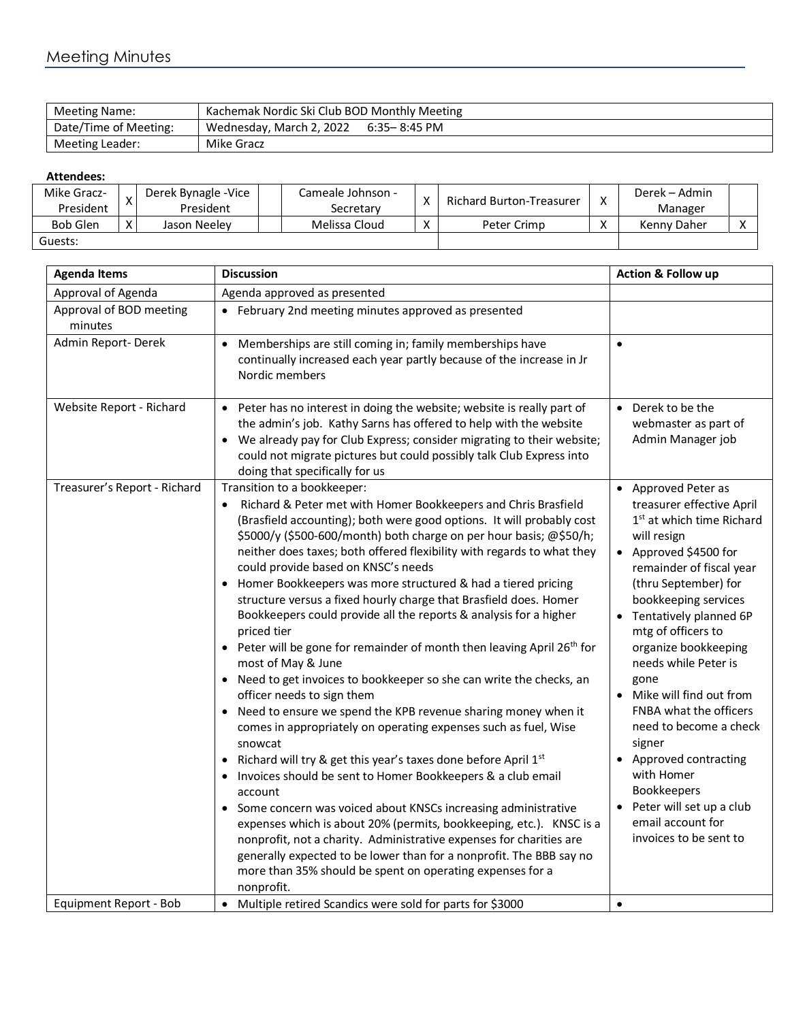| Meeting Name:         | Kachemak Nordic Ski Club BOD Monthly Meeting |
|-----------------------|----------------------------------------------|
| Date/Time of Meeting: | Wednesday, March 2, 2022 6:35 - 8:45 PM      |
| Meeting Leader:       | Mike Gracz                                   |

## **Attendees:**

| Mike Gracz-     |              | Derek Bynagle - Vice | Cameale Johnson - | $\checkmark$ | <b>Richard Burton-Treasurer</b> | v         | Derek – Admin |  |
|-----------------|--------------|----------------------|-------------------|--------------|---------------------------------|-----------|---------------|--|
| President       |              | President            | Secretarv         |              |                                 |           | Manager       |  |
| <b>Bob Glen</b> | $\mathbf{v}$ | Jason Neelev         | Melissa Cloud     | $\checkmark$ | Peter Crimp                     | $\lambda$ | Kenny Daher   |  |
| Guests:         |              |                      |                   |              |                                 |           |               |  |

| <b>Agenda Items</b>                | <b>Discussion</b>                                                                                                                                                                                                                                                                                                                                                                                                                                                                                                                                                                                                                                                                                                                                                                                                                                                                                                                                                                                                                                                                                                                                                                                                                                                                                                                                                                                                                                         | <b>Action &amp; Follow up</b>                                                                                                                                                                                                                                                                                                                                                                                                                                                                                                                          |
|------------------------------------|-----------------------------------------------------------------------------------------------------------------------------------------------------------------------------------------------------------------------------------------------------------------------------------------------------------------------------------------------------------------------------------------------------------------------------------------------------------------------------------------------------------------------------------------------------------------------------------------------------------------------------------------------------------------------------------------------------------------------------------------------------------------------------------------------------------------------------------------------------------------------------------------------------------------------------------------------------------------------------------------------------------------------------------------------------------------------------------------------------------------------------------------------------------------------------------------------------------------------------------------------------------------------------------------------------------------------------------------------------------------------------------------------------------------------------------------------------------|--------------------------------------------------------------------------------------------------------------------------------------------------------------------------------------------------------------------------------------------------------------------------------------------------------------------------------------------------------------------------------------------------------------------------------------------------------------------------------------------------------------------------------------------------------|
| Approval of Agenda                 | Agenda approved as presented                                                                                                                                                                                                                                                                                                                                                                                                                                                                                                                                                                                                                                                                                                                                                                                                                                                                                                                                                                                                                                                                                                                                                                                                                                                                                                                                                                                                                              |                                                                                                                                                                                                                                                                                                                                                                                                                                                                                                                                                        |
| Approval of BOD meeting<br>minutes | • February 2nd meeting minutes approved as presented                                                                                                                                                                                                                                                                                                                                                                                                                                                                                                                                                                                                                                                                                                                                                                                                                                                                                                                                                                                                                                                                                                                                                                                                                                                                                                                                                                                                      |                                                                                                                                                                                                                                                                                                                                                                                                                                                                                                                                                        |
| Admin Report-Derek                 | Memberships are still coming in; family memberships have<br>$\bullet$<br>continually increased each year partly because of the increase in Jr<br>Nordic members                                                                                                                                                                                                                                                                                                                                                                                                                                                                                                                                                                                                                                                                                                                                                                                                                                                                                                                                                                                                                                                                                                                                                                                                                                                                                           | $\bullet$                                                                                                                                                                                                                                                                                                                                                                                                                                                                                                                                              |
| Website Report - Richard           | • Peter has no interest in doing the website; website is really part of<br>the admin's job. Kathy Sarns has offered to help with the website<br>We already pay for Club Express; consider migrating to their website;<br>$\bullet$<br>could not migrate pictures but could possibly talk Club Express into<br>doing that specifically for us                                                                                                                                                                                                                                                                                                                                                                                                                                                                                                                                                                                                                                                                                                                                                                                                                                                                                                                                                                                                                                                                                                              | • Derek to be the<br>webmaster as part of<br>Admin Manager job                                                                                                                                                                                                                                                                                                                                                                                                                                                                                         |
| Treasurer's Report - Richard       | Transition to a bookkeeper:<br>Richard & Peter met with Homer Bookkeepers and Chris Brasfield<br>(Brasfield accounting); both were good options. It will probably cost<br>\$5000/y (\$500-600/month) both charge on per hour basis; @\$50/h;<br>neither does taxes; both offered flexibility with regards to what they<br>could provide based on KNSC's needs<br>Homer Bookkeepers was more structured & had a tiered pricing<br>structure versus a fixed hourly charge that Brasfield does. Homer<br>Bookkeepers could provide all the reports & analysis for a higher<br>priced tier<br>• Peter will be gone for remainder of month then leaving April $26th$ for<br>most of May & June<br>Need to get invoices to bookkeeper so she can write the checks, an<br>officer needs to sign them<br>Need to ensure we spend the KPB revenue sharing money when it<br>comes in appropriately on operating expenses such as fuel, Wise<br>snowcat<br>Richard will try & get this year's taxes done before April 1st<br>Invoices should be sent to Homer Bookkeepers & a club email<br>account<br>Some concern was voiced about KNSCs increasing administrative<br>expenses which is about 20% (permits, bookkeeping, etc.). KNSC is a<br>nonprofit, not a charity. Administrative expenses for charities are<br>generally expected to be lower than for a nonprofit. The BBB say no<br>more than 35% should be spent on operating expenses for a<br>nonprofit. | • Approved Peter as<br>treasurer effective April<br>1 <sup>st</sup> at which time Richard<br>will resign<br>• Approved \$4500 for<br>remainder of fiscal year<br>(thru September) for<br>bookkeeping services<br>• Tentatively planned 6P<br>mtg of officers to<br>organize bookkeeping<br>needs while Peter is<br>gone<br>• Mike will find out from<br>FNBA what the officers<br>need to become a check<br>signer<br>• Approved contracting<br>with Homer<br>Bookkeepers<br>• Peter will set up a club<br>email account for<br>invoices to be sent to |
| Equipment Report - Bob             | Multiple retired Scandics were sold for parts for \$3000<br>$\bullet$                                                                                                                                                                                                                                                                                                                                                                                                                                                                                                                                                                                                                                                                                                                                                                                                                                                                                                                                                                                                                                                                                                                                                                                                                                                                                                                                                                                     | $\bullet$                                                                                                                                                                                                                                                                                                                                                                                                                                                                                                                                              |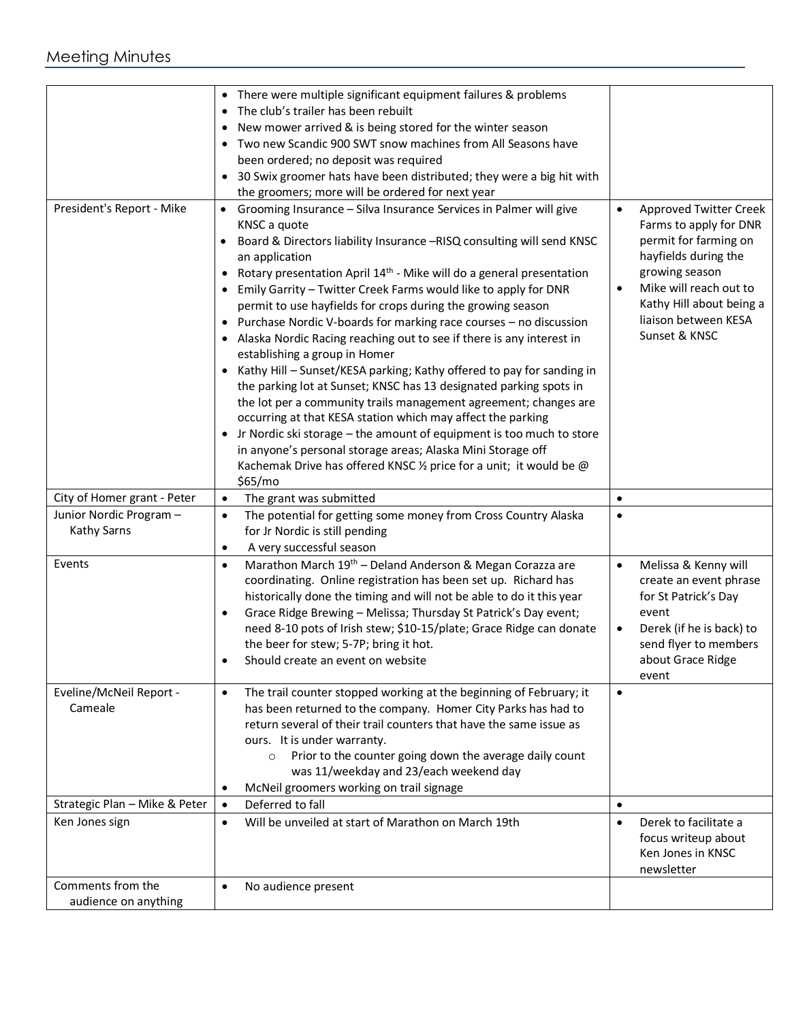## Meeting Minutes

|                                               | There were multiple significant equipment failures & problems<br>$\bullet$<br>The club's trailer has been rebuilt<br>New mower arrived & is being stored for the winter season<br>Two new Scandic 900 SWT snow machines from All Seasons have<br>been ordered; no deposit was required<br>30 Swix groomer hats have been distributed; they were a big hit with<br>the groomers; more will be ordered for next year                                                                                                                                                                                                                                                                                                                                                                                                                                                                                                                                                                                                                                                                                       |                                                                                                                                                                                                                                        |
|-----------------------------------------------|----------------------------------------------------------------------------------------------------------------------------------------------------------------------------------------------------------------------------------------------------------------------------------------------------------------------------------------------------------------------------------------------------------------------------------------------------------------------------------------------------------------------------------------------------------------------------------------------------------------------------------------------------------------------------------------------------------------------------------------------------------------------------------------------------------------------------------------------------------------------------------------------------------------------------------------------------------------------------------------------------------------------------------------------------------------------------------------------------------|----------------------------------------------------------------------------------------------------------------------------------------------------------------------------------------------------------------------------------------|
| President's Report - Mike                     | Grooming Insurance - Silva Insurance Services in Palmer will give<br>KNSC a quote<br>Board & Directors liability Insurance -RISQ consulting will send KNSC<br>an application<br>Rotary presentation April 14 <sup>th</sup> - Mike will do a general presentation<br>Emily Garrity - Twitter Creek Farms would like to apply for DNR<br>permit to use hayfields for crops during the growing season<br>Purchase Nordic V-boards for marking race courses - no discussion<br>Alaska Nordic Racing reaching out to see if there is any interest in<br>establishing a group in Homer<br>Kathy Hill - Sunset/KESA parking; Kathy offered to pay for sanding in<br>$\bullet$<br>the parking lot at Sunset; KNSC has 13 designated parking spots in<br>the lot per a community trails management agreement; changes are<br>occurring at that KESA station which may affect the parking<br>Jr Nordic ski storage - the amount of equipment is too much to store<br>in anyone's personal storage areas; Alaska Mini Storage off<br>Kachemak Drive has offered KNSC 1/2 price for a unit; it would be @<br>\$65/mo | <b>Approved Twitter Creek</b><br>$\bullet$<br>Farms to apply for DNR<br>permit for farming on<br>hayfields during the<br>growing season<br>Mike will reach out to<br>Kathy Hill about being a<br>liaison between KESA<br>Sunset & KNSC |
| City of Homer grant - Peter                   | The grant was submitted<br>$\bullet$                                                                                                                                                                                                                                                                                                                                                                                                                                                                                                                                                                                                                                                                                                                                                                                                                                                                                                                                                                                                                                                                     | $\bullet$                                                                                                                                                                                                                              |
| Junior Nordic Program -<br><b>Kathy Sarns</b> | The potential for getting some money from Cross Country Alaska<br>$\bullet$<br>for Jr Nordic is still pending<br>A very successful season<br>$\bullet$                                                                                                                                                                                                                                                                                                                                                                                                                                                                                                                                                                                                                                                                                                                                                                                                                                                                                                                                                   |                                                                                                                                                                                                                                        |
| Events                                        | Marathon March 19 <sup>th</sup> - Deland Anderson & Megan Corazza are<br>$\bullet$<br>coordinating. Online registration has been set up. Richard has<br>historically done the timing and will not be able to do it this year<br>Grace Ridge Brewing - Melissa; Thursday St Patrick's Day event;<br>$\bullet$<br>need 8-10 pots of Irish stew; \$10-15/plate; Grace Ridge can donate<br>the beer for stew; 5-7P; bring it hot.<br>Should create an event on website                                                                                                                                                                                                                                                                                                                                                                                                                                                                                                                                                                                                                                       | Melissa & Kenny will<br>$\bullet$<br>create an event phrase<br>for St Patrick's Day<br>event<br>Derek (if he is back) to<br>send flyer to members<br>about Grace Ridge<br>event                                                        |
| Eveline/McNeil Report -<br>Cameale            | The trail counter stopped working at the beginning of February; it<br>$\bullet$<br>has been returned to the company. Homer City Parks has had to<br>return several of their trail counters that have the same issue as<br>ours. It is under warranty.<br>Prior to the counter going down the average daily count<br>$\circ$<br>was 11/weekday and 23/each weekend day<br>McNeil groomers working on trail signage<br>$\bullet$                                                                                                                                                                                                                                                                                                                                                                                                                                                                                                                                                                                                                                                                           | $\bullet$                                                                                                                                                                                                                              |
| Strategic Plan - Mike & Peter                 | Deferred to fall<br>$\bullet$                                                                                                                                                                                                                                                                                                                                                                                                                                                                                                                                                                                                                                                                                                                                                                                                                                                                                                                                                                                                                                                                            | $\bullet$                                                                                                                                                                                                                              |
| Ken Jones sign                                | Will be unveiled at start of Marathon on March 19th<br>$\bullet$                                                                                                                                                                                                                                                                                                                                                                                                                                                                                                                                                                                                                                                                                                                                                                                                                                                                                                                                                                                                                                         | Derek to facilitate a<br>$\bullet$<br>focus writeup about<br>Ken Jones in KNSC<br>newsletter                                                                                                                                           |
| Comments from the<br>audience on anything     | No audience present<br>$\bullet$                                                                                                                                                                                                                                                                                                                                                                                                                                                                                                                                                                                                                                                                                                                                                                                                                                                                                                                                                                                                                                                                         |                                                                                                                                                                                                                                        |